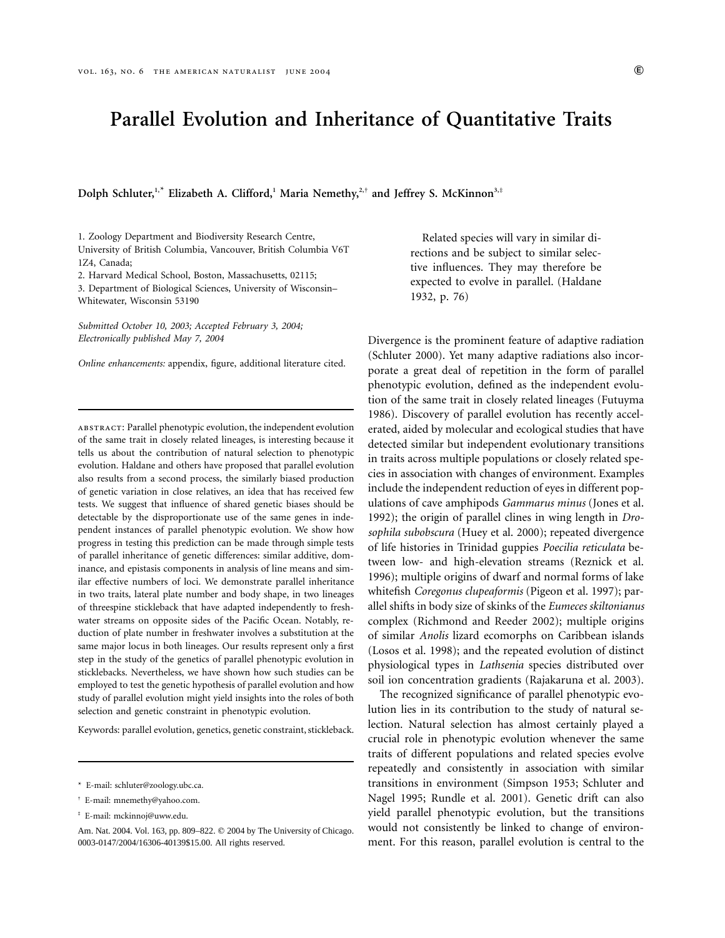# **Parallel Evolution and Inheritance of Quantitative Traits**

**Dolph Schluter,1,**\* **Elizabeth A. Clifford,<sup>1</sup> Maria Nemethy,2,**† **and Jeffrey S. McKinnon3,**‡

1. Zoology Department and Biodiversity Research Centre, University of British Columbia, Vancouver, British Columbia V6T 1Z4, Canada;

2. Harvard Medical School, Boston, Massachusetts, 02115;

3. Department of Biological Sciences, University of Wisconsin– Whitewater, Wisconsin 53190

*Submitted October 10, 2003; Accepted February 3, 2004; Electronically published May 7, 2004*

*Online enhancements:* appendix, figure, additional literature cited.

abstract: Parallel phenotypic evolution, the independent evolution of the same trait in closely related lineages, is interesting because it tells us about the contribution of natural selection to phenotypic evolution. Haldane and others have proposed that parallel evolution also results from a second process, the similarly biased production of genetic variation in close relatives, an idea that has received few tests. We suggest that influence of shared genetic biases should be detectable by the disproportionate use of the same genes in independent instances of parallel phenotypic evolution. We show how progress in testing this prediction can be made through simple tests of parallel inheritance of genetic differences: similar additive, dominance, and epistasis components in analysis of line means and similar effective numbers of loci. We demonstrate parallel inheritance in two traits, lateral plate number and body shape, in two lineages of threespine stickleback that have adapted independently to freshwater streams on opposite sides of the Pacific Ocean. Notably, reduction of plate number in freshwater involves a substitution at the same major locus in both lineages. Our results represent only a first step in the study of the genetics of parallel phenotypic evolution in sticklebacks. Nevertheless, we have shown how such studies can be employed to test the genetic hypothesis of parallel evolution and how study of parallel evolution might yield insights into the roles of both selection and genetic constraint in phenotypic evolution.

Keywords: parallel evolution, genetics, genetic constraint, stickleback.

Related species will vary in similar directions and be subject to similar selective influences. They may therefore be expected to evolve in parallel. (Haldane 1932, p. 76)

Divergence is the prominent feature of adaptive radiation (Schluter 2000). Yet many adaptive radiations also incorporate a great deal of repetition in the form of parallel phenotypic evolution, defined as the independent evolution of the same trait in closely related lineages (Futuyma 1986). Discovery of parallel evolution has recently accelerated, aided by molecular and ecological studies that have detected similar but independent evolutionary transitions in traits across multiple populations or closely related species in association with changes of environment. Examples include the independent reduction of eyes in different populations of cave amphipods *Gammarus minus* (Jones et al. 1992); the origin of parallel clines in wing length in *Drosophila subobscura* (Huey et al. 2000); repeated divergence of life histories in Trinidad guppies *Poecilia reticulata* between low- and high-elevation streams (Reznick et al. 1996); multiple origins of dwarf and normal forms of lake whitefish *Coregonus clupeaformis* (Pigeon et al. 1997); parallel shifts in body size of skinks of the *Eumeces skiltonianus* complex (Richmond and Reeder 2002); multiple origins of similar *Anolis* lizard ecomorphs on Caribbean islands (Losos et al. 1998); and the repeated evolution of distinct physiological types in *Lathsenia* species distributed over soil ion concentration gradients (Rajakaruna et al. 2003).

The recognized significance of parallel phenotypic evolution lies in its contribution to the study of natural selection. Natural selection has almost certainly played a crucial role in phenotypic evolution whenever the same traits of different populations and related species evolve repeatedly and consistently in association with similar transitions in environment (Simpson 1953; Schluter and Nagel 1995; Rundle et al. 2001). Genetic drift can also yield parallel phenotypic evolution, but the transitions would not consistently be linked to change of environment. For this reason, parallel evolution is central to the

<sup>\*</sup> E-mail: schluter@zoology.ubc.ca.

<sup>†</sup> E-mail: mnemethy@yahoo.com.

<sup>‡</sup> E-mail: mckinnoj@uww.edu.

Am. Nat. 2004. Vol. 163, pp. 809–822. © 2004 by The University of Chicago. 0003-0147/2004/16306-40139\$15.00. All rights reserved.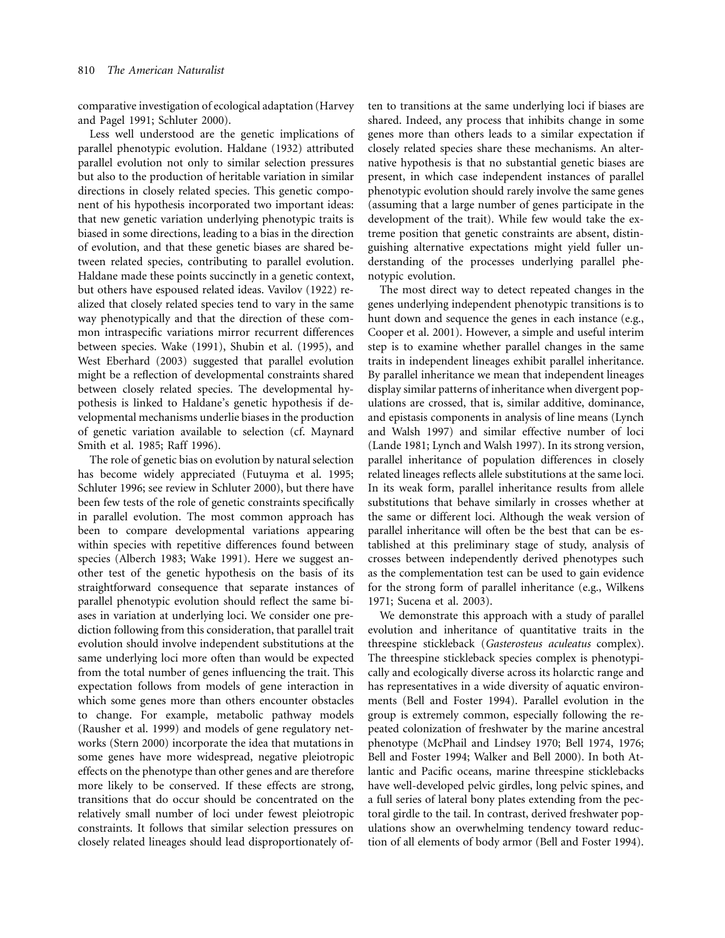comparative investigation of ecological adaptation (Harvey and Pagel 1991; Schluter 2000).

Less well understood are the genetic implications of parallel phenotypic evolution. Haldane (1932) attributed parallel evolution not only to similar selection pressures but also to the production of heritable variation in similar directions in closely related species. This genetic component of his hypothesis incorporated two important ideas: that new genetic variation underlying phenotypic traits is biased in some directions, leading to a bias in the direction of evolution, and that these genetic biases are shared between related species, contributing to parallel evolution. Haldane made these points succinctly in a genetic context, but others have espoused related ideas. Vavilov (1922) realized that closely related species tend to vary in the same way phenotypically and that the direction of these common intraspecific variations mirror recurrent differences between species. Wake (1991), Shubin et al. (1995), and West Eberhard (2003) suggested that parallel evolution might be a reflection of developmental constraints shared between closely related species. The developmental hypothesis is linked to Haldane's genetic hypothesis if developmental mechanisms underlie biases in the production of genetic variation available to selection (cf. Maynard Smith et al. 1985; Raff 1996).

The role of genetic bias on evolution by natural selection has become widely appreciated (Futuyma et al. 1995; Schluter 1996; see review in Schluter 2000), but there have been few tests of the role of genetic constraints specifically in parallel evolution. The most common approach has been to compare developmental variations appearing within species with repetitive differences found between species (Alberch 1983; Wake 1991). Here we suggest another test of the genetic hypothesis on the basis of its straightforward consequence that separate instances of parallel phenotypic evolution should reflect the same biases in variation at underlying loci. We consider one prediction following from this consideration, that parallel trait evolution should involve independent substitutions at the same underlying loci more often than would be expected from the total number of genes influencing the trait. This expectation follows from models of gene interaction in which some genes more than others encounter obstacles to change. For example, metabolic pathway models (Rausher et al. 1999) and models of gene regulatory networks (Stern 2000) incorporate the idea that mutations in some genes have more widespread, negative pleiotropic effects on the phenotype than other genes and are therefore more likely to be conserved. If these effects are strong, transitions that do occur should be concentrated on the relatively small number of loci under fewest pleiotropic constraints. It follows that similar selection pressures on closely related lineages should lead disproportionately often to transitions at the same underlying loci if biases are shared. Indeed, any process that inhibits change in some genes more than others leads to a similar expectation if closely related species share these mechanisms. An alternative hypothesis is that no substantial genetic biases are present, in which case independent instances of parallel phenotypic evolution should rarely involve the same genes (assuming that a large number of genes participate in the development of the trait). While few would take the extreme position that genetic constraints are absent, distinguishing alternative expectations might yield fuller understanding of the processes underlying parallel phenotypic evolution.

The most direct way to detect repeated changes in the genes underlying independent phenotypic transitions is to hunt down and sequence the genes in each instance (e.g., Cooper et al. 2001). However, a simple and useful interim step is to examine whether parallel changes in the same traits in independent lineages exhibit parallel inheritance. By parallel inheritance we mean that independent lineages display similar patterns of inheritance when divergent populations are crossed, that is, similar additive, dominance, and epistasis components in analysis of line means (Lynch and Walsh 1997) and similar effective number of loci (Lande 1981; Lynch and Walsh 1997). In its strong version, parallel inheritance of population differences in closely related lineages reflects allele substitutions at the same loci. In its weak form, parallel inheritance results from allele substitutions that behave similarly in crosses whether at the same or different loci. Although the weak version of parallel inheritance will often be the best that can be established at this preliminary stage of study, analysis of crosses between independently derived phenotypes such as the complementation test can be used to gain evidence for the strong form of parallel inheritance (e.g., Wilkens 1971; Sucena et al. 2003).

We demonstrate this approach with a study of parallel evolution and inheritance of quantitative traits in the threespine stickleback (*Gasterosteus aculeatus* complex). The threespine stickleback species complex is phenotypically and ecologically diverse across its holarctic range and has representatives in a wide diversity of aquatic environments (Bell and Foster 1994). Parallel evolution in the group is extremely common, especially following the repeated colonization of freshwater by the marine ancestral phenotype (McPhail and Lindsey 1970; Bell 1974, 1976; Bell and Foster 1994; Walker and Bell 2000). In both Atlantic and Pacific oceans, marine threespine sticklebacks have well-developed pelvic girdles, long pelvic spines, and a full series of lateral bony plates extending from the pectoral girdle to the tail. In contrast, derived freshwater populations show an overwhelming tendency toward reduction of all elements of body armor (Bell and Foster 1994).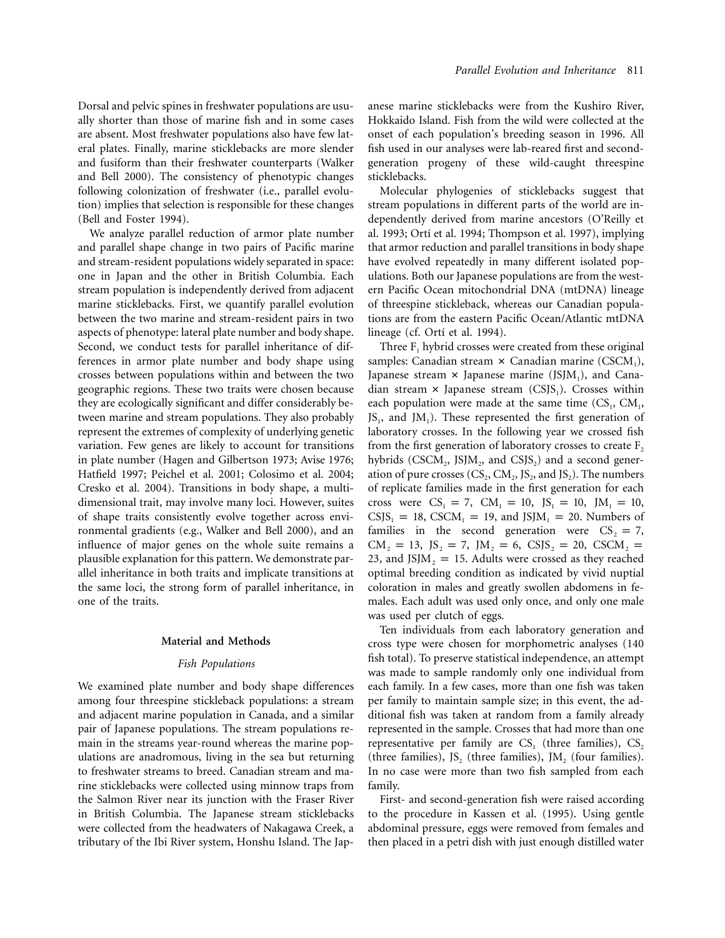Dorsal and pelvic spines in freshwater populations are usually shorter than those of marine fish and in some cases are absent. Most freshwater populations also have few lateral plates. Finally, marine sticklebacks are more slender and fusiform than their freshwater counterparts (Walker and Bell 2000). The consistency of phenotypic changes following colonization of freshwater (i.e., parallel evolution) implies that selection is responsible for these changes (Bell and Foster 1994).

We analyze parallel reduction of armor plate number and parallel shape change in two pairs of Pacific marine and stream-resident populations widely separated in space: one in Japan and the other in British Columbia. Each stream population is independently derived from adjacent marine sticklebacks. First, we quantify parallel evolution between the two marine and stream-resident pairs in two aspects of phenotype: lateral plate number and body shape. Second, we conduct tests for parallel inheritance of differences in armor plate number and body shape using crosses between populations within and between the two geographic regions. These two traits were chosen because they are ecologically significant and differ considerably between marine and stream populations. They also probably represent the extremes of complexity of underlying genetic variation. Few genes are likely to account for transitions in plate number (Hagen and Gilbertson 1973; Avise 1976; Hatfield 1997; Peichel et al. 2001; Colosimo et al. 2004; Cresko et al. 2004). Transitions in body shape, a multidimensional trait, may involve many loci. However, suites of shape traits consistently evolve together across environmental gradients (e.g., Walker and Bell 2000), and an influence of major genes on the whole suite remains a plausible explanation for this pattern. We demonstrate parallel inheritance in both traits and implicate transitions at the same loci, the strong form of parallel inheritance, in one of the traits.

#### **Material and Methods**

## *Fish Populations*

We examined plate number and body shape differences among four threespine stickleback populations: a stream and adjacent marine population in Canada, and a similar pair of Japanese populations. The stream populations remain in the streams year-round whereas the marine populations are anadromous, living in the sea but returning to freshwater streams to breed. Canadian stream and marine sticklebacks were collected using minnow traps from the Salmon River near its junction with the Fraser River in British Columbia. The Japanese stream sticklebacks were collected from the headwaters of Nakagawa Creek, a tributary of the Ibi River system, Honshu Island. The Jap-

anese marine sticklebacks were from the Kushiro River, Hokkaido Island. Fish from the wild were collected at the onset of each population's breeding season in 1996. All fish used in our analyses were lab-reared first and secondgeneration progeny of these wild-caught threespine sticklebacks.

Molecular phylogenies of sticklebacks suggest that stream populations in different parts of the world are independently derived from marine ancestors (O'Reilly et al. 1993; Ortí et al. 1994; Thompson et al. 1997), implying that armor reduction and parallel transitions in body shape have evolved repeatedly in many different isolated populations. Both our Japanese populations are from the western Pacific Ocean mitochondrial DNA (mtDNA) lineage of threespine stickleback, whereas our Canadian populations are from the eastern Pacific Ocean/Atlantic mtDNA lineage (cf. Ortí et al. 1994).

Three  $F_1$  hybrid crosses were created from these original samples: Canadian stream  $\times$  Canadian marine (CSCM<sub>1</sub>), Japanese stream  $\times$  Japanese marine (JSJM<sub>1</sub>), and Canadian stream  $\times$  Japanese stream (CSJS<sub>1</sub>). Crosses within each population were made at the same time  $(CS<sub>1</sub>, CM<sub>1</sub>,$ JS<sub>1</sub>, and JM<sub>1</sub>). These represented the first generation of laboratory crosses. In the following year we crossed fish from the first generation of laboratory crosses to create  $F_2$ hybrids (CSCM<sub>2</sub>, JSJM<sub>2</sub>, and CSJS<sub>2</sub>) and a second generation of pure crosses  $(CS_2, CM_2, JS_2, and JS_2)$ . The numbers of replicate families made in the first generation for each cross were  $CS_1 = 7$ ,  $CM_1 = 10$ ,  $JS_1 = 10$ ,  $JM_1 = 10$ ,  $CSJS_1 = 18$ ,  $CSCM_1 = 19$ , and  $JSJM_1 = 20$ . Numbers of families in the second generation were  $CS_2 = 7$ ,  $CM_2 = 13$ ,  $JS_2 = 7$ ,  $JM_2 = 6$ ,  $CSJS_2 = 20$ ,  $CSCM_2 =$ 23, and JSJM  $_2$  = 15. Adults were crossed as they reached optimal breeding condition as indicated by vivid nuptial coloration in males and greatly swollen abdomens in females. Each adult was used only once, and only one male was used per clutch of eggs.

Ten individuals from each laboratory generation and cross type were chosen for morphometric analyses (140 fish total). To preserve statistical independence, an attempt was made to sample randomly only one individual from each family. In a few cases, more than one fish was taken per family to maintain sample size; in this event, the additional fish was taken at random from a family already represented in the sample. Crosses that had more than one representative per family are  $CS<sub>1</sub>$  (three families),  $CS<sub>2</sub>$ (three families), JS<sub>2</sub> (three families), JM<sub>2</sub> (four families). In no case were more than two fish sampled from each family.

First- and second-generation fish were raised according to the procedure in Kassen et al. (1995). Using gentle abdominal pressure, eggs were removed from females and then placed in a petri dish with just enough distilled water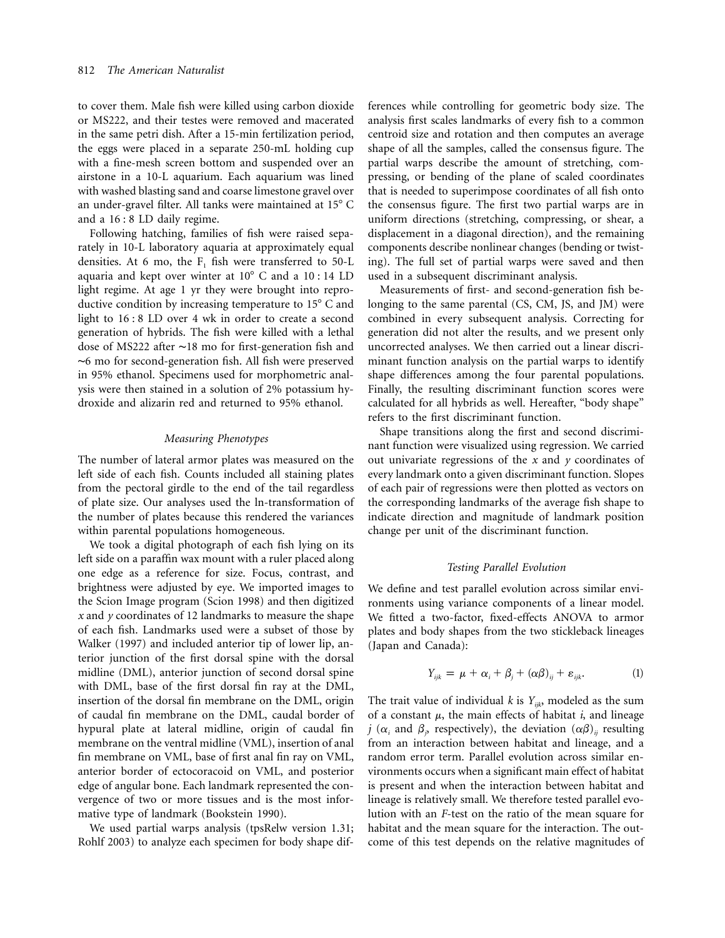to cover them. Male fish were killed using carbon dioxide or MS222, and their testes were removed and macerated in the same petri dish. After a 15-min fertilization period, the eggs were placed in a separate 250-mL holding cup with a fine-mesh screen bottom and suspended over an airstone in a 10-L aquarium. Each aquarium was lined with washed blasting sand and coarse limestone gravel over an under-gravel filter. All tanks were maintained at 15° C and a 16 : 8 LD daily regime.

Following hatching, families of fish were raised separately in 10-L laboratory aquaria at approximately equal densities. At 6 mo, the  $F_1$  fish were transferred to 50-L aquaria and kept over winter at 10° C and a 10 : 14 LD light regime. At age 1 yr they were brought into reproductive condition by increasing temperature to 15° C and light to 16 : 8 LD over 4 wk in order to create a second generation of hybrids. The fish were killed with a lethal dose of MS222 after ∼18 mo for first-generation fish and ∼6 mo for second-generation fish. All fish were preserved in 95% ethanol. Specimens used for morphometric analysis were then stained in a solution of 2% potassium hydroxide and alizarin red and returned to 95% ethanol.

#### *Measuring Phenotypes*

The number of lateral armor plates was measured on the left side of each fish. Counts included all staining plates from the pectoral girdle to the end of the tail regardless of plate size. Our analyses used the ln-transformation of the number of plates because this rendered the variances within parental populations homogeneous.

We took a digital photograph of each fish lying on its left side on a paraffin wax mount with a ruler placed along one edge as a reference for size. Focus, contrast, and brightness were adjusted by eye. We imported images to the Scion Image program (Scion 1998) and then digitized *x* and *y* coordinates of 12 landmarks to measure the shape of each fish. Landmarks used were a subset of those by Walker (1997) and included anterior tip of lower lip, anterior junction of the first dorsal spine with the dorsal midline (DML), anterior junction of second dorsal spine with DML, base of the first dorsal fin ray at the DML, insertion of the dorsal fin membrane on the DML, origin of caudal fin membrane on the DML, caudal border of hypural plate at lateral midline, origin of caudal fin membrane on the ventral midline (VML), insertion of anal fin membrane on VML, base of first anal fin ray on VML, anterior border of ectocoracoid on VML, and posterior edge of angular bone. Each landmark represented the convergence of two or more tissues and is the most informative type of landmark (Bookstein 1990).

We used partial warps analysis (tpsRelw version 1.31; Rohlf 2003) to analyze each specimen for body shape differences while controlling for geometric body size. The analysis first scales landmarks of every fish to a common centroid size and rotation and then computes an average shape of all the samples, called the consensus figure. The partial warps describe the amount of stretching, compressing, or bending of the plane of scaled coordinates that is needed to superimpose coordinates of all fish onto the consensus figure. The first two partial warps are in uniform directions (stretching, compressing, or shear, a displacement in a diagonal direction), and the remaining components describe nonlinear changes (bending or twisting). The full set of partial warps were saved and then used in a subsequent discriminant analysis.

Measurements of first- and second-generation fish belonging to the same parental (CS, CM, JS, and JM) were combined in every subsequent analysis. Correcting for generation did not alter the results, and we present only uncorrected analyses. We then carried out a linear discriminant function analysis on the partial warps to identify shape differences among the four parental populations. Finally, the resulting discriminant function scores were calculated for all hybrids as well. Hereafter, "body shape" refers to the first discriminant function.

Shape transitions along the first and second discriminant function were visualized using regression. We carried out univariate regressions of the *x* and *y* coordinates of every landmark onto a given discriminant function. Slopes of each pair of regressions were then plotted as vectors on the corresponding landmarks of the average fish shape to indicate direction and magnitude of landmark position change per unit of the discriminant function.

#### *Testing Parallel Evolution*

We define and test parallel evolution across similar environments using variance components of a linear model. We fitted a two-factor, fixed-effects ANOVA to armor plates and body shapes from the two stickleback lineages (Japan and Canada):

$$
Y_{ijk} = \mu + \alpha_i + \beta_j + (\alpha \beta)_{ij} + \varepsilon_{ijk}.
$$
 (1)

The trait value of individual *k* is  $Y_{ijk}$ , modeled as the sum of a constant  $\mu$ , the main effects of habitat  $i$ , and lineage *j* ( $\alpha_i$  and  $\beta_j$ , respectively), the deviation ( $\alpha\beta$ )<sub>*ij*</sub> resulting from an interaction between habitat and lineage, and a random error term. Parallel evolution across similar environments occurs when a significant main effect of habitat is present and when the interaction between habitat and lineage is relatively small. We therefore tested parallel evolution with an *F*-test on the ratio of the mean square for habitat and the mean square for the interaction. The outcome of this test depends on the relative magnitudes of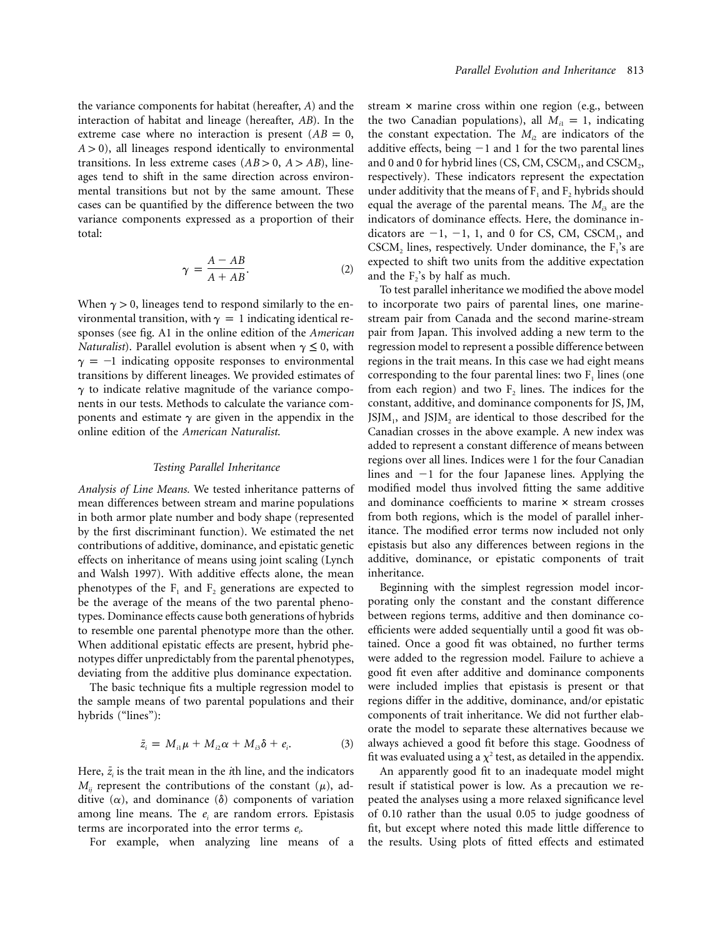the variance components for habitat (hereafter, *A*) and the interaction of habitat and lineage (hereafter, *AB*). In the extreme case where no interaction is present  $(AB = 0,$  $A > 0$ ), all lineages respond identically to environmental transitions. In less extreme cases  $(AB > 0, A > AB)$ , lineages tend to shift in the same direction across environmental transitions but not by the same amount. These cases can be quantified by the difference between the two variance components expressed as a proportion of their total:

$$
\gamma = \frac{A - AB}{A + AB}.\tag{2}
$$

When  $\gamma > 0$ , lineages tend to respond similarly to the environmental transition, with  $\gamma = 1$  indicating identical responses (see fig. A1 in the online edition of the *American Naturalist*). Parallel evolution is absent when  $\gamma \leq 0$ , with  $\gamma = -1$  indicating opposite responses to environmental transitions by different lineages. We provided estimates of  $\gamma$  to indicate relative magnitude of the variance components in our tests. Methods to calculate the variance components and estimate  $\gamma$  are given in the appendix in the online edition of the *American Naturalist*.

#### *Testing Parallel Inheritance*

*Analysis of Line Means.* We tested inheritance patterns of mean differences between stream and marine populations in both armor plate number and body shape (represented by the first discriminant function). We estimated the net contributions of additive, dominance, and epistatic genetic effects on inheritance of means using joint scaling (Lynch and Walsh 1997). With additive effects alone, the mean phenotypes of the  $F_1$  and  $F_2$  generations are expected to be the average of the means of the two parental phenotypes. Dominance effects cause both generations of hybrids to resemble one parental phenotype more than the other. When additional epistatic effects are present, hybrid phenotypes differ unpredictably from the parental phenotypes, deviating from the additive plus dominance expectation.

The basic technique fits a multiple regression model to the sample means of two parental populations and their hybrids ("lines"):

$$
\bar{z}_i = M_{i1}\mu + M_{i2}\alpha + M_{i3}\delta + e_i. \tag{3}
$$

Here,  $\bar{z}$  *i*s the trait mean in the *i*th line, and the indicators  $M_{ii}$  represent the contributions of the constant ( $\mu$ ), additive  $(\alpha)$ , and dominance  $(\delta)$  components of variation among line means. The *ei* are random errors. Epistasis terms are incorporated into the error terms *ei* .

For example, when analyzing line means of a

stream  $\times$  marine cross within one region (e.g., between the two Canadian populations), all  $M<sub>ii</sub> = 1$ , indicating the constant expectation. The  $M_{12}$  are indicators of the additive effects, being  $-1$  and 1 for the two parental lines and 0 and 0 for hybrid lines (CS, CM, CSCM<sub>1</sub>, and CSCM<sub>2</sub>, respectively). These indicators represent the expectation under additivity that the means of  $F_1$  and  $F_2$  hybrids should equal the average of the parental means. The  $M_{\rm a}$  are the indicators of dominance effects. Here, the dominance indicators are  $-1$ ,  $-1$ , 1, and 0 for CS, CM, CSCM<sub>1</sub>, and CSCM<sub>2</sub> lines, respectively. Under dominance, the  $F_1$ 's are expected to shift two units from the additive expectation and the  $F_2$ 's by half as much.

To test parallel inheritance we modified the above model to incorporate two pairs of parental lines, one marinestream pair from Canada and the second marine-stream pair from Japan. This involved adding a new term to the regression model to represent a possible difference between regions in the trait means. In this case we had eight means corresponding to the four parental lines: two  $F_1$  lines (one from each region) and two  $F_2$  lines. The indices for the constant, additive, and dominance components for JS, JM, JSJM<sub>1</sub>, and JSJM<sub>2</sub> are identical to those described for the Canadian crosses in the above example. A new index was added to represent a constant difference of means between regions over all lines. Indices were 1 for the four Canadian lines and -1 for the four Japanese lines. Applying the modified model thus involved fitting the same additive and dominance coefficients to marine  $\times$  stream crosses from both regions, which is the model of parallel inheritance. The modified error terms now included not only epistasis but also any differences between regions in the additive, dominance, or epistatic components of trait inheritance.

Beginning with the simplest regression model incorporating only the constant and the constant difference between regions terms, additive and then dominance coefficients were added sequentially until a good fit was obtained. Once a good fit was obtained, no further terms were added to the regression model. Failure to achieve a good fit even after additive and dominance components were included implies that epistasis is present or that regions differ in the additive, dominance, and/or epistatic components of trait inheritance. We did not further elaborate the model to separate these alternatives because we always achieved a good fit before this stage. Goodness of fit was evaluated using a  $\chi^2$  test, as detailed in the appendix.

An apparently good fit to an inadequate model might result if statistical power is low. As a precaution we repeated the analyses using a more relaxed significance level of 0.10 rather than the usual 0.05 to judge goodness of fit, but except where noted this made little difference to the results. Using plots of fitted effects and estimated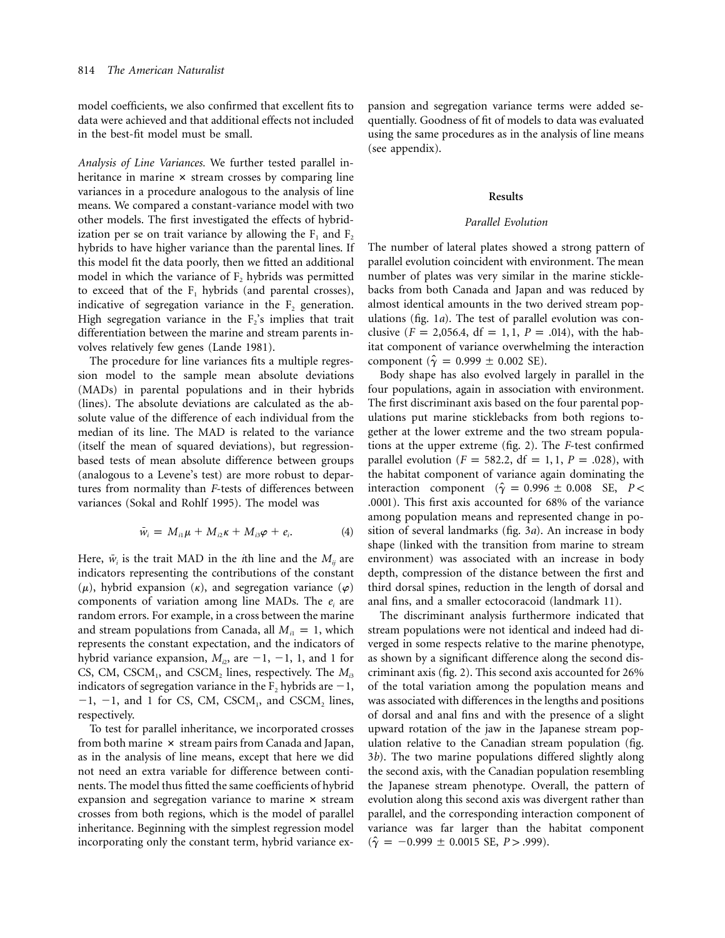model coefficients, we also confirmed that excellent fits to data were achieved and that additional effects not included in the best-fit model must be small.

*Analysis of Line Variances.* We further tested parallel inheritance in marine  $\times$  stream crosses by comparing line variances in a procedure analogous to the analysis of line means. We compared a constant-variance model with two other models. The first investigated the effects of hybridization per se on trait variance by allowing the  $F_1$  and  $F_2$ hybrids to have higher variance than the parental lines. If this model fit the data poorly, then we fitted an additional model in which the variance of  $F<sub>2</sub>$  hybrids was permitted to exceed that of the  $F_1$  hybrids (and parental crosses), indicative of segregation variance in the  $F<sub>2</sub>$  generation. High segregation variance in the  $F_2$ 's implies that trait differentiation between the marine and stream parents involves relatively few genes (Lande 1981).

The procedure for line variances fits a multiple regression model to the sample mean absolute deviations (MADs) in parental populations and in their hybrids (lines). The absolute deviations are calculated as the absolute value of the difference of each individual from the median of its line. The MAD is related to the variance (itself the mean of squared deviations), but regressionbased tests of mean absolute difference between groups (analogous to a Levene's test) are more robust to departures from normality than *F*-tests of differences between variances (Sokal and Rohlf 1995). The model was

$$
\bar{w}_i = M_{i1}\mu + M_{i2}\kappa + M_{i3}\varphi + e_i.
$$
 (4)

Here,  $\bar{w}_i$  is the trait MAD in the *i*th line and the  $M_{ij}$  are indicators representing the contributions of the constant  $(\mu)$ , hybrid expansion  $(\kappa)$ , and segregation variance  $(\varphi)$ components of variation among line MADs. The *ei* are random errors. For example, in a cross between the marine and stream populations from Canada, all  $M<sub>i1</sub> = 1$ , which represents the constant expectation, and the indicators of hybrid variance expansion,  $M_{12}$ , are  $-1$ ,  $-1$ , 1, and 1 for CS, CM, CSCM<sub>1</sub>, and CSCM<sub>2</sub> lines, respectively. The  $M_{13}$ indicators of segregation variance in the  $F_2$  hybrids are  $-1$ ,  $-1$ ,  $-1$ , and 1 for CS, CM, CSCM<sub>1</sub>, and CSCM<sub>2</sub> lines, respectively.

To test for parallel inheritance, we incorporated crosses from both marine  $\times$  stream pairs from Canada and Japan, as in the analysis of line means, except that here we did not need an extra variable for difference between continents. The model thus fitted the same coefficients of hybrid expansion and segregation variance to marine  $\times$  stream crosses from both regions, which is the model of parallel inheritance. Beginning with the simplest regression model incorporating only the constant term, hybrid variance expansion and segregation variance terms were added sequentially. Goodness of fit of models to data was evaluated using the same procedures as in the analysis of line means (see appendix).

#### **Results**

#### *Parallel Evolution*

The number of lateral plates showed a strong pattern of parallel evolution coincident with environment. The mean number of plates was very similar in the marine sticklebacks from both Canada and Japan and was reduced by almost identical amounts in the two derived stream populations (fig. 1*a*). The test of parallel evolution was conclusive  $(F = 2,056.4, df = 1, 1, P = .014)$ , with the habitat component of variance overwhelming the interaction component ( $\hat{\gamma} = 0.999 \pm 0.002$  SE).

Body shape has also evolved largely in parallel in the four populations, again in association with environment. The first discriminant axis based on the four parental populations put marine sticklebacks from both regions together at the lower extreme and the two stream populations at the upper extreme (fig. 2). The *F*-test confirmed parallel evolution ( $F = 582.2$ , df = 1, 1,  $P = .028$ ), with the habitat component of variance again dominating the interaction component ( $\hat{\gamma} = 0.996 \pm 0.008$  SE, P< .0001). This first axis accounted for 68% of the variance among population means and represented change in position of several landmarks (fig. 3*a*). An increase in body shape (linked with the transition from marine to stream environment) was associated with an increase in body depth, compression of the distance between the first and third dorsal spines, reduction in the length of dorsal and anal fins, and a smaller ectocoracoid (landmark 11).

The discriminant analysis furthermore indicated that stream populations were not identical and indeed had diverged in some respects relative to the marine phenotype, as shown by a significant difference along the second discriminant axis (fig. 2). This second axis accounted for 26% of the total variation among the population means and was associated with differences in the lengths and positions of dorsal and anal fins and with the presence of a slight upward rotation of the jaw in the Japanese stream population relative to the Canadian stream population (fig. 3*b*). The two marine populations differed slightly along the second axis, with the Canadian population resembling the Japanese stream phenotype. Overall, the pattern of evolution along this second axis was divergent rather than parallel, and the corresponding interaction component of variance was far larger than the habitat component  $(\hat{\gamma} = -0.999 \pm 0.0015 \text{ SE}, P > .999).$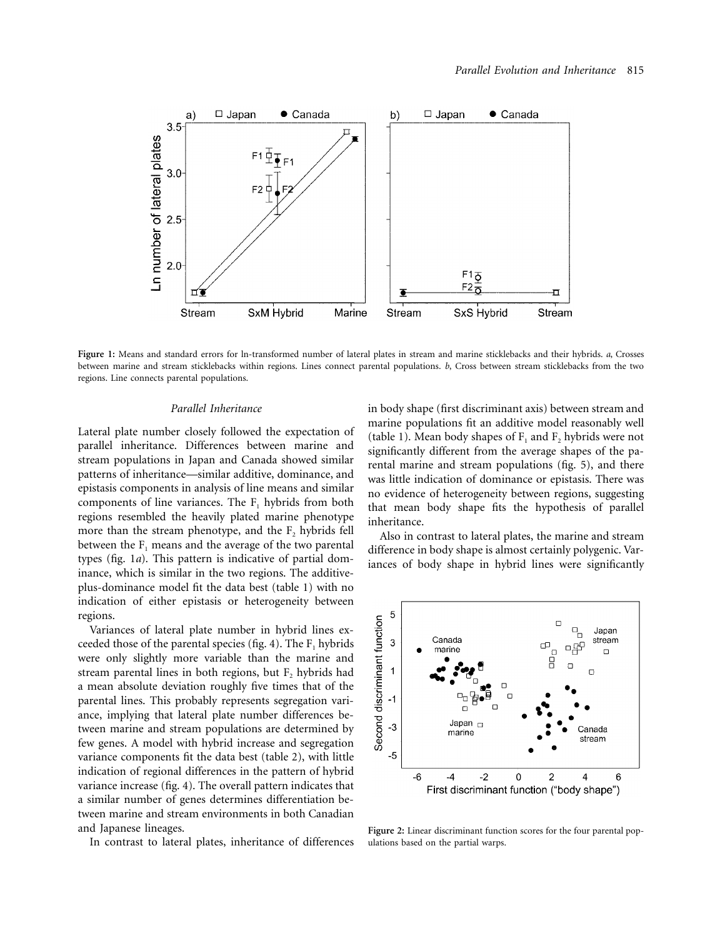

**Figure 1:** Means and standard errors for ln-transformed number of lateral plates in stream and marine sticklebacks and their hybrids. *a*, Crosses between marine and stream sticklebacks within regions. Lines connect parental populations. *b*, Cross between stream sticklebacks from the two regions. Line connects parental populations.

## *Parallel Inheritance*

Lateral plate number closely followed the expectation of parallel inheritance. Differences between marine and stream populations in Japan and Canada showed similar patterns of inheritance—similar additive, dominance, and epistasis components in analysis of line means and similar components of line variances. The  $F_1$  hybrids from both regions resembled the heavily plated marine phenotype more than the stream phenotype, and the  $F<sub>2</sub>$  hybrids fell between the  $F_1$  means and the average of the two parental types (fig. 1*a*). This pattern is indicative of partial dominance, which is similar in the two regions. The additiveplus-dominance model fit the data best (table 1) with no indication of either epistasis or heterogeneity between regions.

Variances of lateral plate number in hybrid lines exceeded those of the parental species (fig. 4). The  $F_1$  hybrids were only slightly more variable than the marine and stream parental lines in both regions, but  $F<sub>2</sub>$  hybrids had a mean absolute deviation roughly five times that of the parental lines. This probably represents segregation variance, implying that lateral plate number differences between marine and stream populations are determined by few genes. A model with hybrid increase and segregation variance components fit the data best (table 2), with little indication of regional differences in the pattern of hybrid variance increase (fig. 4). The overall pattern indicates that a similar number of genes determines differentiation between marine and stream environments in both Canadian and Japanese lineages.

In contrast to lateral plates, inheritance of differences

in body shape (first discriminant axis) between stream and marine populations fit an additive model reasonably well (table 1). Mean body shapes of  $F_1$  and  $F_2$  hybrids were not significantly different from the average shapes of the parental marine and stream populations (fig. 5), and there was little indication of dominance or epistasis. There was no evidence of heterogeneity between regions, suggesting that mean body shape fits the hypothesis of parallel inheritance.

Also in contrast to lateral plates, the marine and stream difference in body shape is almost certainly polygenic. Variances of body shape in hybrid lines were significantly



**Figure 2:** Linear discriminant function scores for the four parental populations based on the partial warps.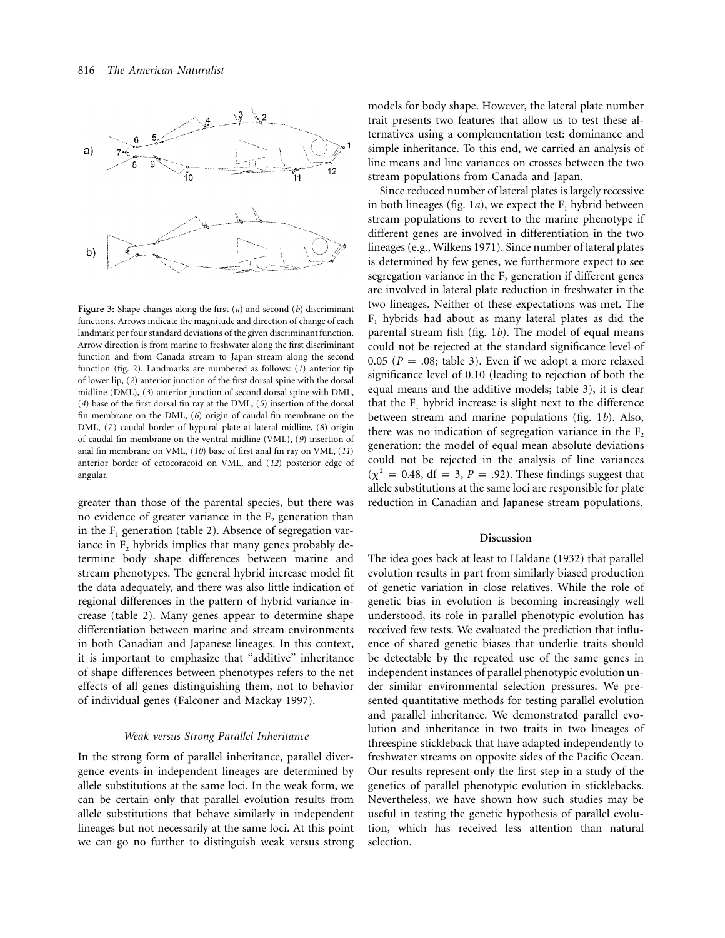

**Figure 3:** Shape changes along the first (*a*) and second (*b*) discriminant functions. Arrows indicate the magnitude and direction of change of each landmark per four standard deviations of the given discriminant function. Arrow direction is from marine to freshwater along the first discriminant function and from Canada stream to Japan stream along the second function (fig. 2). Landmarks are numbered as follows: (*1*) anterior tip of lower lip, (*2*) anterior junction of the first dorsal spine with the dorsal midline (DML), (*3*) anterior junction of second dorsal spine with DML, (*4*) base of the first dorsal fin ray at the DML, (*5*) insertion of the dorsal fin membrane on the DML, (*6*) origin of caudal fin membrane on the DML, (*7* ) caudal border of hypural plate at lateral midline, (*8*) origin of caudal fin membrane on the ventral midline (VML), (*9*) insertion of anal fin membrane on VML, (*10*) base of first anal fin ray on VML, (*11*) anterior border of ectocoracoid on VML, and (*12*) posterior edge of angular.

greater than those of the parental species, but there was no evidence of greater variance in the  $F<sub>2</sub>$  generation than in the  $F_1$  generation (table 2). Absence of segregation variance in  $F<sub>2</sub>$  hybrids implies that many genes probably determine body shape differences between marine and stream phenotypes. The general hybrid increase model fit the data adequately, and there was also little indication of regional differences in the pattern of hybrid variance increase (table 2). Many genes appear to determine shape differentiation between marine and stream environments in both Canadian and Japanese lineages. In this context, it is important to emphasize that "additive" inheritance of shape differences between phenotypes refers to the net effects of all genes distinguishing them, not to behavior of individual genes (Falconer and Mackay 1997).

## *Weak versus Strong Parallel Inheritance*

In the strong form of parallel inheritance, parallel divergence events in independent lineages are determined by allele substitutions at the same loci. In the weak form, we can be certain only that parallel evolution results from allele substitutions that behave similarly in independent lineages but not necessarily at the same loci. At this point we can go no further to distinguish weak versus strong models for body shape. However, the lateral plate number trait presents two features that allow us to test these alternatives using a complementation test: dominance and simple inheritance. To this end, we carried an analysis of line means and line variances on crosses between the two stream populations from Canada and Japan.

Since reduced number of lateral plates is largely recessive in both lineages (fig. 1*a*), we expect the  $F_1$  hybrid between stream populations to revert to the marine phenotype if different genes are involved in differentiation in the two lineages (e.g., Wilkens 1971). Since number of lateral plates is determined by few genes, we furthermore expect to see segregation variance in the  $F<sub>2</sub>$  generation if different genes are involved in lateral plate reduction in freshwater in the two lineages. Neither of these expectations was met. The  $F<sub>1</sub>$  hybrids had about as many lateral plates as did the parental stream fish (fig. 1*b*). The model of equal means could not be rejected at the standard significance level of 0.05 ( $P = .08$ ; table 3). Even if we adopt a more relaxed significance level of 0.10 (leading to rejection of both the equal means and the additive models; table 3), it is clear that the  $F_1$  hybrid increase is slight next to the difference between stream and marine populations (fig. 1*b*). Also, there was no indication of segregation variance in the  $F<sub>2</sub>$ generation: the model of equal mean absolute deviations could not be rejected in the analysis of line variances  $(\chi^2 = 0.48, df = 3, P = .92)$ . These findings suggest that allele substitutions at the same loci are responsible for plate reduction in Canadian and Japanese stream populations.

## **Discussion**

The idea goes back at least to Haldane (1932) that parallel evolution results in part from similarly biased production of genetic variation in close relatives. While the role of genetic bias in evolution is becoming increasingly well understood, its role in parallel phenotypic evolution has received few tests. We evaluated the prediction that influence of shared genetic biases that underlie traits should be detectable by the repeated use of the same genes in independent instances of parallel phenotypic evolution under similar environmental selection pressures. We presented quantitative methods for testing parallel evolution and parallel inheritance. We demonstrated parallel evolution and inheritance in two traits in two lineages of threespine stickleback that have adapted independently to freshwater streams on opposite sides of the Pacific Ocean. Our results represent only the first step in a study of the genetics of parallel phenotypic evolution in sticklebacks. Nevertheless, we have shown how such studies may be useful in testing the genetic hypothesis of parallel evolution, which has received less attention than natural selection.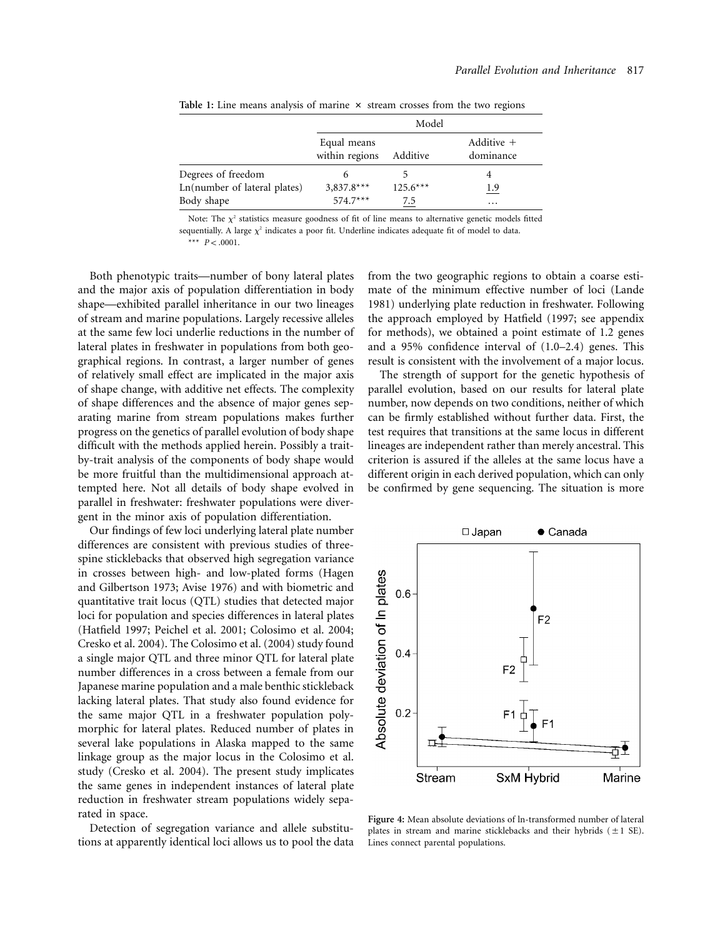|                              | Model                         |            |                           |  |
|------------------------------|-------------------------------|------------|---------------------------|--|
|                              | Equal means<br>within regions | Additive   | $Additive +$<br>dominance |  |
| Degrees of freedom           | h                             | 5          | 4                         |  |
| Ln(number of lateral plates) | $3,837.8***$                  | $125.6***$ | 1.9                       |  |
| Body shape                   | $574.7***$                    | 7.5        | $\cdots$                  |  |

Table 1: Line means analysis of marine  $\times$  stream crosses from the two regions

Note: The  $\chi^2$  statistics measure goodness of fit of line means to alternative genetic models fitted sequentially. A large  $\chi^2$  indicates a poor fit. Underline indicates adequate fit of model to data.  $***$   $P < .0001$ .

Both phenotypic traits—number of bony lateral plates and the major axis of population differentiation in body shape—exhibited parallel inheritance in our two lineages of stream and marine populations. Largely recessive alleles at the same few loci underlie reductions in the number of lateral plates in freshwater in populations from both geographical regions. In contrast, a larger number of genes of relatively small effect are implicated in the major axis of shape change, with additive net effects. The complexity of shape differences and the absence of major genes separating marine from stream populations makes further progress on the genetics of parallel evolution of body shape difficult with the methods applied herein. Possibly a traitby-trait analysis of the components of body shape would be more fruitful than the multidimensional approach attempted here. Not all details of body shape evolved in parallel in freshwater: freshwater populations were divergent in the minor axis of population differentiation.

Our findings of few loci underlying lateral plate number differences are consistent with previous studies of threespine sticklebacks that observed high segregation variance in crosses between high- and low-plated forms (Hagen and Gilbertson 1973; Avise 1976) and with biometric and quantitative trait locus (QTL) studies that detected major loci for population and species differences in lateral plates (Hatfield 1997; Peichel et al. 2001; Colosimo et al. 2004; Cresko et al. 2004). The Colosimo et al. (2004) study found a single major QTL and three minor QTL for lateral plate number differences in a cross between a female from our Japanese marine population and a male benthic stickleback lacking lateral plates. That study also found evidence for the same major QTL in a freshwater population polymorphic for lateral plates. Reduced number of plates in several lake populations in Alaska mapped to the same linkage group as the major locus in the Colosimo et al. study (Cresko et al. 2004). The present study implicates the same genes in independent instances of lateral plate reduction in freshwater stream populations widely separated in space.

Detection of segregation variance and allele substitutions at apparently identical loci allows us to pool the data from the two geographic regions to obtain a coarse estimate of the minimum effective number of loci (Lande 1981) underlying plate reduction in freshwater. Following the approach employed by Hatfield (1997; see appendix for methods), we obtained a point estimate of 1.2 genes and a 95% confidence interval of (1.0–2.4) genes. This result is consistent with the involvement of a major locus.

The strength of support for the genetic hypothesis of parallel evolution, based on our results for lateral plate number, now depends on two conditions, neither of which can be firmly established without further data. First, the test requires that transitions at the same locus in different lineages are independent rather than merely ancestral. This criterion is assured if the alleles at the same locus have a different origin in each derived population, which can only be confirmed by gene sequencing. The situation is more



**Figure 4:** Mean absolute deviations of ln-transformed number of lateral plates in stream and marine sticklebacks and their hybrids  $(\pm 1 \text{ SE}).$ Lines connect parental populations.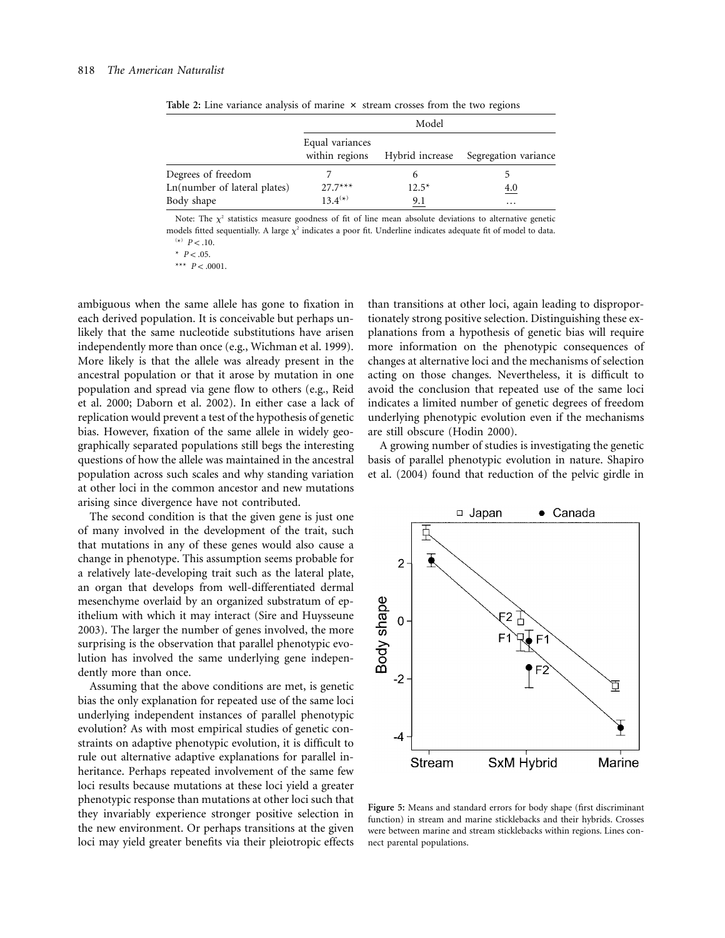|                              | Model                             |                 |                      |  |  |
|------------------------------|-----------------------------------|-----------------|----------------------|--|--|
|                              | Equal variances<br>within regions | Hybrid increase | Segregation variance |  |  |
| Degrees of freedom           |                                   |                 |                      |  |  |
| Ln(number of lateral plates) | $27.7***$                         | $12.5*$         | 4.0                  |  |  |
| Body shape                   | $13.4^{(*)}$                      | <u>9.1</u>      | $\cdots$             |  |  |

Table 2: Line variance analysis of marine  $\times$  stream crosses from the two regions

Note: The  $\chi^2$  statistics measure goodness of fit of line mean absolute deviations to alternative genetic models fitted sequentially. A large  $\chi^2$  indicates a poor fit. Underline indicates adequate fit of model to data.  $(P<.10$ .

 $*$   $P < .05$ .

\*\*\*  $P < .0001$ .

ambiguous when the same allele has gone to fixation in each derived population. It is conceivable but perhaps unlikely that the same nucleotide substitutions have arisen independently more than once (e.g., Wichman et al. 1999). More likely is that the allele was already present in the ancestral population or that it arose by mutation in one population and spread via gene flow to others (e.g., Reid et al. 2000; Daborn et al. 2002). In either case a lack of replication would prevent a test of the hypothesis of genetic bias. However, fixation of the same allele in widely geographically separated populations still begs the interesting questions of how the allele was maintained in the ancestral population across such scales and why standing variation at other loci in the common ancestor and new mutations arising since divergence have not contributed.

The second condition is that the given gene is just one of many involved in the development of the trait, such that mutations in any of these genes would also cause a change in phenotype. This assumption seems probable for a relatively late-developing trait such as the lateral plate, an organ that develops from well-differentiated dermal mesenchyme overlaid by an organized substratum of epithelium with which it may interact (Sire and Huysseune 2003). The larger the number of genes involved, the more surprising is the observation that parallel phenotypic evolution has involved the same underlying gene independently more than once.

Assuming that the above conditions are met, is genetic bias the only explanation for repeated use of the same loci underlying independent instances of parallel phenotypic evolution? As with most empirical studies of genetic constraints on adaptive phenotypic evolution, it is difficult to rule out alternative adaptive explanations for parallel inheritance. Perhaps repeated involvement of the same few loci results because mutations at these loci yield a greater phenotypic response than mutations at other loci such that they invariably experience stronger positive selection in the new environment. Or perhaps transitions at the given loci may yield greater benefits via their pleiotropic effects than transitions at other loci, again leading to disproportionately strong positive selection. Distinguishing these explanations from a hypothesis of genetic bias will require more information on the phenotypic consequences of changes at alternative loci and the mechanisms of selection acting on those changes. Nevertheless, it is difficult to avoid the conclusion that repeated use of the same loci indicates a limited number of genetic degrees of freedom underlying phenotypic evolution even if the mechanisms are still obscure (Hodin 2000).

A growing number of studies is investigating the genetic basis of parallel phenotypic evolution in nature. Shapiro et al. (2004) found that reduction of the pelvic girdle in



**Figure 5:** Means and standard errors for body shape (first discriminant function) in stream and marine sticklebacks and their hybrids. Crosses were between marine and stream sticklebacks within regions. Lines connect parental populations.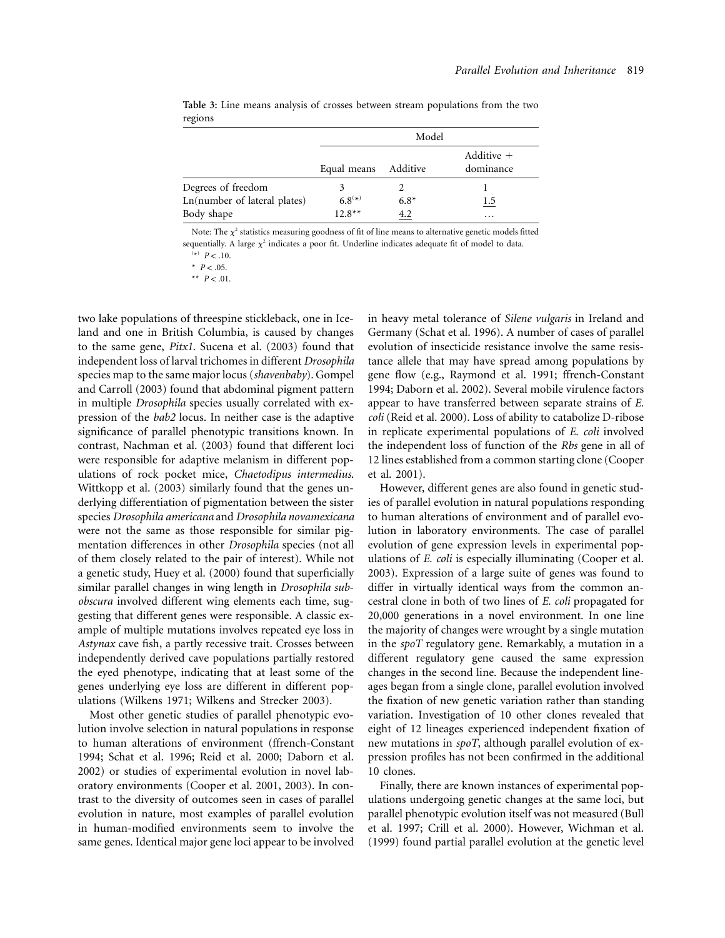|                              | Model       |          |                           |  |
|------------------------------|-------------|----------|---------------------------|--|
|                              | Equal means | Additive | $Additive +$<br>dominance |  |
| Degrees of freedom           |             |          |                           |  |
| Ln(number of lateral plates) | $6.8^{(*)}$ | $6.8*$   | 1.5                       |  |
| Body shape                   | $12.8**$    | 4.2      | $\cdots$                  |  |

**Table 3:** Line means analysis of crosses between stream populations from the two regions

Note: The  $\chi^2$  statistics measuring goodness of fit of line means to alternative genetic models fitted sequentially. A large  $\chi^2$  indicates a poor fit. Underline indicates adequate fit of model to data.

 $(P<.10$ .  $*$   $P < .05$ .

\*\*  $P < .01$ .

two lake populations of threespine stickleback, one in Iceland and one in British Columbia, is caused by changes to the same gene, *Pitx1*. Sucena et al. (2003) found that independent loss of larval trichomes in different *Drosophila* species map to the same major locus (*shavenbaby*). Gompel and Carroll (2003) found that abdominal pigment pattern in multiple *Drosophila* species usually correlated with expression of the *bab2* locus. In neither case is the adaptive significance of parallel phenotypic transitions known. In contrast, Nachman et al. (2003) found that different loci were responsible for adaptive melanism in different populations of rock pocket mice, *Chaetodipus intermedius*. Wittkopp et al. (2003) similarly found that the genes underlying differentiation of pigmentation between the sister species *Drosophila americana* and *Drosophila novamexicana* were not the same as those responsible for similar pigmentation differences in other *Drosophila* species (not all of them closely related to the pair of interest). While not a genetic study, Huey et al. (2000) found that superficially similar parallel changes in wing length in *Drosophila subobscura* involved different wing elements each time, suggesting that different genes were responsible. A classic example of multiple mutations involves repeated eye loss in *Astynax* cave fish, a partly recessive trait. Crosses between independently derived cave populations partially restored the eyed phenotype, indicating that at least some of the genes underlying eye loss are different in different populations (Wilkens 1971; Wilkens and Strecker 2003).

Most other genetic studies of parallel phenotypic evolution involve selection in natural populations in response to human alterations of environment (ffrench-Constant 1994; Schat et al. 1996; Reid et al. 2000; Daborn et al. 2002) or studies of experimental evolution in novel laboratory environments (Cooper et al. 2001, 2003). In contrast to the diversity of outcomes seen in cases of parallel evolution in nature, most examples of parallel evolution in human-modified environments seem to involve the same genes. Identical major gene loci appear to be involved in heavy metal tolerance of *Silene vulgaris* in Ireland and Germany (Schat et al. 1996). A number of cases of parallel evolution of insecticide resistance involve the same resistance allele that may have spread among populations by gene flow (e.g., Raymond et al. 1991; ffrench-Constant 1994; Daborn et al. 2002). Several mobile virulence factors appear to have transferred between separate strains of *E. coli* (Reid et al. 2000). Loss of ability to catabolize D-ribose in replicate experimental populations of *E. coli* involved the independent loss of function of the *Rbs* gene in all of 12 lines established from a common starting clone (Cooper et al. 2001).

However, different genes are also found in genetic studies of parallel evolution in natural populations responding to human alterations of environment and of parallel evolution in laboratory environments. The case of parallel evolution of gene expression levels in experimental populations of *E. coli* is especially illuminating (Cooper et al. 2003). Expression of a large suite of genes was found to differ in virtually identical ways from the common ancestral clone in both of two lines of *E. coli* propagated for 20,000 generations in a novel environment. In one line the majority of changes were wrought by a single mutation in the *spoT* regulatory gene. Remarkably, a mutation in a different regulatory gene caused the same expression changes in the second line. Because the independent lineages began from a single clone, parallel evolution involved the fixation of new genetic variation rather than standing variation. Investigation of 10 other clones revealed that eight of 12 lineages experienced independent fixation of new mutations in *spoT*, although parallel evolution of expression profiles has not been confirmed in the additional 10 clones.

Finally, there are known instances of experimental populations undergoing genetic changes at the same loci, but parallel phenotypic evolution itself was not measured (Bull et al. 1997; Crill et al. 2000). However, Wichman et al. (1999) found partial parallel evolution at the genetic level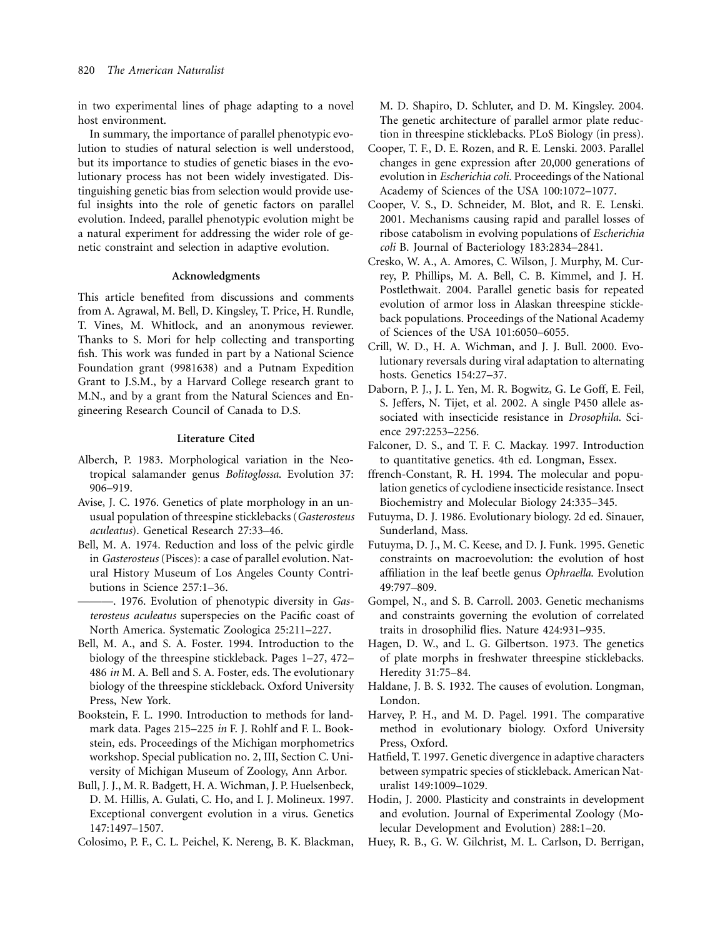in two experimental lines of phage adapting to a novel host environment.

In summary, the importance of parallel phenotypic evolution to studies of natural selection is well understood, but its importance to studies of genetic biases in the evolutionary process has not been widely investigated. Distinguishing genetic bias from selection would provide useful insights into the role of genetic factors on parallel evolution. Indeed, parallel phenotypic evolution might be a natural experiment for addressing the wider role of genetic constraint and selection in adaptive evolution.

## **Acknowledgments**

This article benefited from discussions and comments from A. Agrawal, M. Bell, D. Kingsley, T. Price, H. Rundle, T. Vines, M. Whitlock, and an anonymous reviewer. Thanks to S. Mori for help collecting and transporting fish. This work was funded in part by a National Science Foundation grant (9981638) and a Putnam Expedition Grant to J.S.M., by a Harvard College research grant to M.N., and by a grant from the Natural Sciences and Engineering Research Council of Canada to D.S.

## **Literature Cited**

- Alberch, P. 1983. Morphological variation in the Neotropical salamander genus *Bolitoglossa*. Evolution 37: 906–919.
- Avise, J. C. 1976. Genetics of plate morphology in an unusual population of threespine sticklebacks (*Gasterosteus aculeatus*). Genetical Research 27:33–46.
- Bell, M. A. 1974. Reduction and loss of the pelvic girdle in *Gasterosteus* (Pisces): a case of parallel evolution. Natural History Museum of Los Angeles County Contributions in Science 257:1–36.
	- ———. 1976. Evolution of phenotypic diversity in *Gasterosteus aculeatus* superspecies on the Pacific coast of North America. Systematic Zoologica 25:211–227.
- Bell, M. A., and S. A. Foster. 1994. Introduction to the biology of the threespine stickleback. Pages 1–27, 472– 486 *in* M. A. Bell and S. A. Foster, eds. The evolutionary biology of the threespine stickleback. Oxford University Press, New York.
- Bookstein, F. L. 1990. Introduction to methods for landmark data. Pages 215–225 *in* F. J. Rohlf and F. L. Bookstein, eds. Proceedings of the Michigan morphometrics workshop. Special publication no. 2, III, Section C. University of Michigan Museum of Zoology, Ann Arbor.
- Bull, J. J., M. R. Badgett, H. A. Wichman, J. P. Huelsenbeck, D. M. Hillis, A. Gulati, C. Ho, and I. J. Molineux. 1997. Exceptional convergent evolution in a virus. Genetics 147:1497–1507.
- Colosimo, P. F., C. L. Peichel, K. Nereng, B. K. Blackman,

M. D. Shapiro, D. Schluter, and D. M. Kingsley. 2004. The genetic architecture of parallel armor plate reduction in threespine sticklebacks. PLoS Biology (in press).

- Cooper, T. F., D. E. Rozen, and R. E. Lenski. 2003. Parallel changes in gene expression after 20,000 generations of evolution in *Escherichia coli.* Proceedings of the National Academy of Sciences of the USA 100:1072–1077.
- Cooper, V. S., D. Schneider, M. Blot, and R. E. Lenski. 2001. Mechanisms causing rapid and parallel losses of ribose catabolism in evolving populations of *Escherichia coli* B. Journal of Bacteriology 183:2834–2841.
- Cresko, W. A., A. Amores, C. Wilson, J. Murphy, M. Currey, P. Phillips, M. A. Bell, C. B. Kimmel, and J. H. Postlethwait. 2004. Parallel genetic basis for repeated evolution of armor loss in Alaskan threespine stickleback populations. Proceedings of the National Academy of Sciences of the USA 101:6050–6055.
- Crill, W. D., H. A. Wichman, and J. J. Bull. 2000. Evolutionary reversals during viral adaptation to alternating hosts. Genetics 154:27–37.
- Daborn, P. J., J. L. Yen, M. R. Bogwitz, G. Le Goff, E. Feil, S. Jeffers, N. Tijet, et al. 2002. A single P450 allele associated with insecticide resistance in *Drosophila*. Science 297:2253–2256.
- Falconer, D. S., and T. F. C. Mackay. 1997. Introduction to quantitative genetics. 4th ed. Longman, Essex.
- ffrench-Constant, R. H. 1994. The molecular and population genetics of cyclodiene insecticide resistance. Insect Biochemistry and Molecular Biology 24:335–345.
- Futuyma, D. J. 1986. Evolutionary biology. 2d ed. Sinauer, Sunderland, Mass.
- Futuyma, D. J., M. C. Keese, and D. J. Funk. 1995. Genetic constraints on macroevolution: the evolution of host affiliation in the leaf beetle genus *Ophraella*. Evolution 49:797–809.
- Gompel, N., and S. B. Carroll. 2003. Genetic mechanisms and constraints governing the evolution of correlated traits in drosophilid flies. Nature 424:931–935.
- Hagen, D. W., and L. G. Gilbertson. 1973. The genetics of plate morphs in freshwater threespine sticklebacks. Heredity 31:75–84.
- Haldane, J. B. S. 1932. The causes of evolution. Longman, London.
- Harvey, P. H., and M. D. Pagel. 1991. The comparative method in evolutionary biology. Oxford University Press, Oxford.
- Hatfield, T. 1997. Genetic divergence in adaptive characters between sympatric species of stickleback. American Naturalist 149:1009–1029.
- Hodin, J. 2000. Plasticity and constraints in development and evolution. Journal of Experimental Zoology (Molecular Development and Evolution) 288:1–20.
- Huey, R. B., G. W. Gilchrist, M. L. Carlson, D. Berrigan,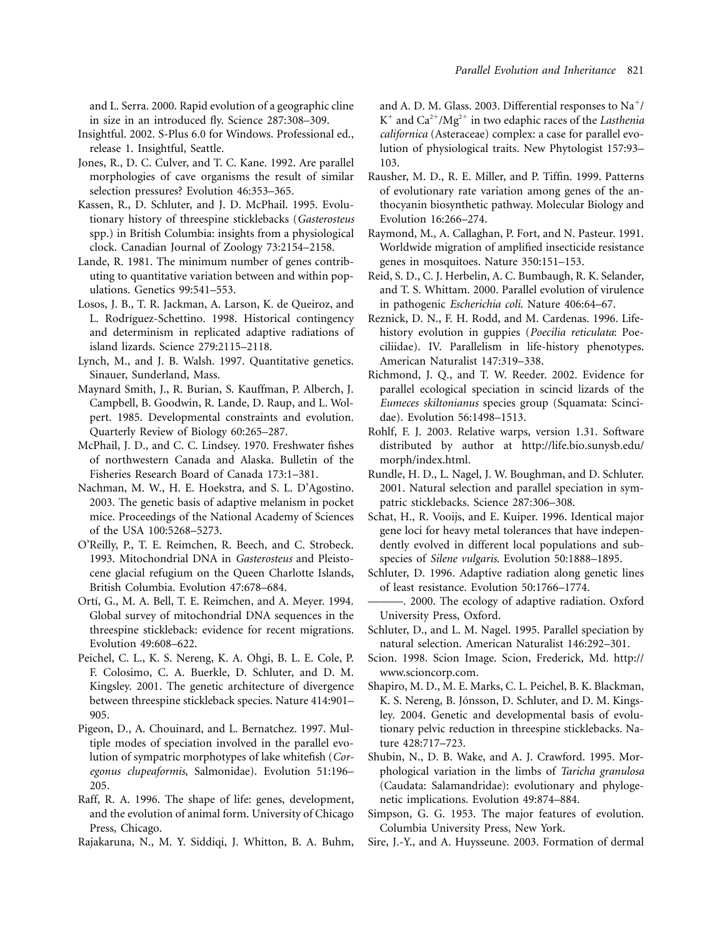and L. Serra. 2000. Rapid evolution of a geographic cline in size in an introduced fly. Science 287:308–309.

- Insightful. 2002. S-Plus 6.0 for Windows. Professional ed., release 1. Insightful, Seattle.
- Jones, R., D. C. Culver, and T. C. Kane. 1992. Are parallel morphologies of cave organisms the result of similar selection pressures? Evolution 46:353–365.
- Kassen, R., D. Schluter, and J. D. McPhail. 1995. Evolutionary history of threespine sticklebacks (*Gasterosteus* spp.) in British Columbia: insights from a physiological clock. Canadian Journal of Zoology 73:2154–2158.
- Lande, R. 1981. The minimum number of genes contributing to quantitative variation between and within populations. Genetics 99:541–553.
- Losos, J. B., T. R. Jackman, A. Larson, K. de Queiroz, and L. Rodríguez-Schettino. 1998. Historical contingency and determinism in replicated adaptive radiations of island lizards. Science 279:2115–2118.
- Lynch, M., and J. B. Walsh. 1997. Quantitative genetics. Sinauer, Sunderland, Mass.
- Maynard Smith, J., R. Burian, S. Kauffman, P. Alberch, J. Campbell, B. Goodwin, R. Lande, D. Raup, and L. Wolpert. 1985. Developmental constraints and evolution. Quarterly Review of Biology 60:265–287.
- McPhail, J. D., and C. C. Lindsey. 1970. Freshwater fishes of northwestern Canada and Alaska. Bulletin of the Fisheries Research Board of Canada 173:1–381.
- Nachman, M. W., H. E. Hoekstra, and S. L. D'Agostino. 2003. The genetic basis of adaptive melanism in pocket mice. Proceedings of the National Academy of Sciences of the USA 100:5268–5273.
- O'Reilly, P., T. E. Reimchen, R. Beech, and C. Strobeck. 1993. Mitochondrial DNA in *Gasterosteus* and Pleistocene glacial refugium on the Queen Charlotte Islands, British Columbia. Evolution 47:678–684.
- Ortí, G., M. A. Bell, T. E. Reimchen, and A. Meyer. 1994. Global survey of mitochondrial DNA sequences in the threespine stickleback: evidence for recent migrations. Evolution 49:608–622.
- Peichel, C. L., K. S. Nereng, K. A. Ohgi, B. L. E. Cole, P. F. Colosimo, C. A. Buerkle, D. Schluter, and D. M. Kingsley. 2001. The genetic architecture of divergence between threespine stickleback species. Nature 414:901– 905.
- Pigeon, D., A. Chouinard, and L. Bernatchez. 1997. Multiple modes of speciation involved in the parallel evolution of sympatric morphotypes of lake whitefish (*Coregonus clupeaformis*, Salmonidae). Evolution 51:196– 205.
- Raff, R. A. 1996. The shape of life: genes, development, and the evolution of animal form. University of Chicago Press, Chicago.
- Rajakaruna, N., M. Y. Siddiqi, J. Whitton, B. A. Buhm,

and A. D. M. Glass. 2003. Differential responses to  $\text{Na}^+$ /  $K^+$  and  $Ca^{2+}/Mg^{2+}$  in two edaphic races of the *Lasthenia californica* (Asteraceae) complex: a case for parallel evolution of physiological traits. New Phytologist 157:93– 103.

- Rausher, M. D., R. E. Miller, and P. Tiffin. 1999. Patterns of evolutionary rate variation among genes of the anthocyanin biosynthetic pathway. Molecular Biology and Evolution 16:266–274.
- Raymond, M., A. Callaghan, P. Fort, and N. Pasteur. 1991. Worldwide migration of amplified insecticide resistance genes in mosquitoes. Nature 350:151–153.
- Reid, S. D., C. J. Herbelin, A. C. Bumbaugh, R. K. Selander, and T. S. Whittam. 2000. Parallel evolution of virulence in pathogenic *Escherichia coli*. Nature 406:64–67.
- Reznick, D. N., F. H. Rodd, and M. Cardenas. 1996. Lifehistory evolution in guppies (*Poecilia reticulata*: Poeciliidae). IV. Parallelism in life-history phenotypes. American Naturalist 147:319–338.
- Richmond, J. Q., and T. W. Reeder. 2002. Evidence for parallel ecological speciation in scincid lizards of the *Eumeces skiltonianus* species group (Squamata: Scincidae). Evolution 56:1498–1513.
- Rohlf, F. J. 2003. Relative warps, version 1.31. Software distributed by author at http://life.bio.sunysb.edu/ morph/index.html.
- Rundle, H. D., L. Nagel, J. W. Boughman, and D. Schluter. 2001. Natural selection and parallel speciation in sympatric sticklebacks. Science 287:306–308.
- Schat, H., R. Vooijs, and E. Kuiper. 1996. Identical major gene loci for heavy metal tolerances that have independently evolved in different local populations and subspecies of *Silene vulgaris*. Evolution 50:1888–1895.
- Schluter, D. 1996. Adaptive radiation along genetic lines of least resistance. Evolution 50:1766–1774.
- ———. 2000. The ecology of adaptive radiation. Oxford University Press, Oxford.
- Schluter, D., and L. M. Nagel. 1995. Parallel speciation by natural selection. American Naturalist 146:292–301.
- Scion. 1998. Scion Image. Scion, Frederick, Md. http:// www.scioncorp.com.
- Shapiro, M. D., M. E. Marks, C. L. Peichel, B. K. Blackman, K. S. Nereng, B. Jónsson, D. Schluter, and D. M. Kingsley. 2004. Genetic and developmental basis of evolutionary pelvic reduction in threespine sticklebacks. Nature 428:717–723.
- Shubin, N., D. B. Wake, and A. J. Crawford. 1995. Morphological variation in the limbs of *Taricha granulosa* (Caudata: Salamandridae): evolutionary and phylogenetic implications. Evolution 49:874–884.
- Simpson, G. G. 1953. The major features of evolution. Columbia University Press, New York.
- Sire, J.-Y., and A. Huysseune. 2003. Formation of dermal